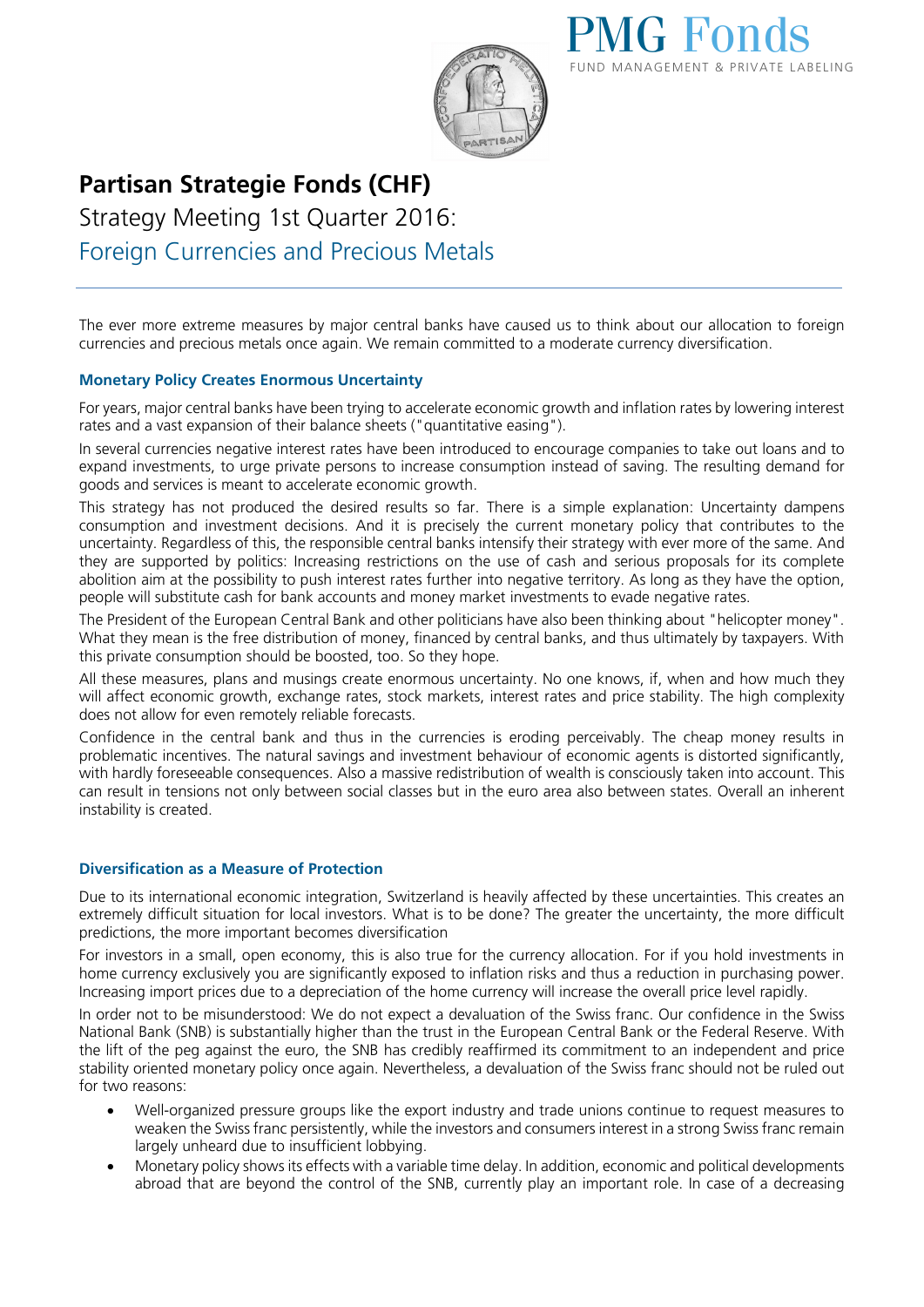



## **Partisan Strategie Fonds (CHF)**

Strategy Meeting 1st Quarter 2016: Foreign Currencies and Precious Metals

The ever more extreme measures by major central banks have caused us to think about our allocation to foreign currencies and precious metals once again. We remain committed to a moderate currency diversification.

## **Monetary Policy Creates Enormous Uncertainty**

For years, major central banks have been trying to accelerate economic growth and inflation rates by lowering interest rates and a vast expansion of their balance sheets ("quantitative easing").

In several currencies negative interest rates have been introduced to encourage companies to take out loans and to expand investments, to urge private persons to increase consumption instead of saving. The resulting demand for goods and services is meant to accelerate economic growth.

This strategy has not produced the desired results so far. There is a simple explanation: Uncertainty dampens consumption and investment decisions. And it is precisely the current monetary policy that contributes to the uncertainty. Regardless of this, the responsible central banks intensify their strategy with ever more of the same. And they are supported by politics: Increasing restrictions on the use of cash and serious proposals for its complete abolition aim at the possibility to push interest rates further into negative territory. As long as they have the option, people will substitute cash for bank accounts and money market investments to evade negative rates.

The President of the European Central Bank and other politicians have also been thinking about "helicopter money". What they mean is the free distribution of money, financed by central banks, and thus ultimately by taxpayers. With this private consumption should be boosted, too. So they hope.

All these measures, plans and musings create enormous uncertainty. No one knows, if, when and how much they will affect economic growth, exchange rates, stock markets, interest rates and price stability. The high complexity does not allow for even remotely reliable forecasts.

Confidence in the central bank and thus in the currencies is eroding perceivably. The cheap money results in problematic incentives. The natural savings and investment behaviour of economic agents is distorted significantly, with hardly foreseeable consequences. Also a massive redistribution of wealth is consciously taken into account. This can result in tensions not only between social classes but in the euro area also between states. Overall an inherent instability is created.

## **Diversification as a Measure of Protection**

Due to its international economic integration, Switzerland is heavily affected by these uncertainties. This creates an extremely difficult situation for local investors. What is to be done? The greater the uncertainty, the more difficult predictions, the more important becomes diversification

For investors in a small, open economy, this is also true for the currency allocation. For if you hold investments in home currency exclusively you are significantly exposed to inflation risks and thus a reduction in purchasing power. Increasing import prices due to a depreciation of the home currency will increase the overall price level rapidly.

In order not to be misunderstood: We do not expect a devaluation of the Swiss franc. Our confidence in the Swiss National Bank (SNB) is substantially higher than the trust in the European Central Bank or the Federal Reserve. With the lift of the peg against the euro, the SNB has credibly reaffirmed its commitment to an independent and price stability oriented monetary policy once again. Nevertheless, a devaluation of the Swiss franc should not be ruled out for two reasons:

- Well-organized pressure groups like the export industry and trade unions continue to request measures to weaken the Swiss franc persistently, while the investors and consumers interest in a strong Swiss franc remain largely unheard due to insufficient lobbying.
- Monetary policy shows its effects with a variable time delay. In addition, economic and political developments abroad that are beyond the control of the SNB, currently play an important role. In case of a decreasing